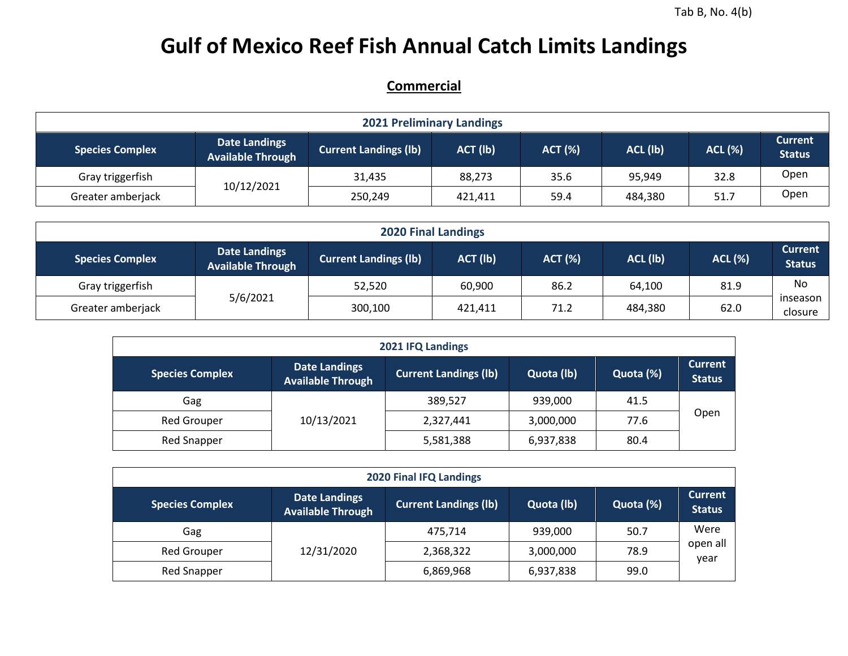## **Gulf of Mexico Reef Fish Annual Catch Limits Landings**

## **Commercial**

|                        |                                                  |                              | <b>2021 Preliminary Landings</b> |                |          |                |                                 |
|------------------------|--------------------------------------------------|------------------------------|----------------------------------|----------------|----------|----------------|---------------------------------|
| <b>Species Complex</b> | <b>Date Landings</b><br><b>Available Through</b> | <b>Current Landings (Ib)</b> | ACT (lb)                         | <b>ACT (%)</b> | ACL (lb) | <b>ACL (%)</b> | <b>Current</b><br><b>Status</b> |
| Gray triggerfish       |                                                  | 31.435                       | 88,273                           | 35.6           | 95,949   | 32.8           | Open                            |
| Greater amberjack      | 10/12/2021                                       | 250,249                      | 421,411                          | 59.4           | 484,380  | 51.7           | Open                            |

| <b>2020 Final Landings</b> |                                                  |                              |          |                |          |                |                                 |  |  |  |  |
|----------------------------|--------------------------------------------------|------------------------------|----------|----------------|----------|----------------|---------------------------------|--|--|--|--|
| <b>Species Complex</b>     | <b>Date Landings</b><br><b>Available Through</b> | <b>Current Landings (Ib)</b> | ACT (lb) | <b>ACT (%)</b> | ACL (lb) | <b>ACL (%)</b> | <b>Current</b><br><b>Status</b> |  |  |  |  |
| Gray triggerfish           |                                                  | 52,520                       | 60,900   | 86.2           | 64,100   | 81.9           | No                              |  |  |  |  |
| Greater amberjack          | 5/6/2021                                         | 300,100                      | 421,411  | 71.2           | 484,380  | 62.0           | inseason<br>closure             |  |  |  |  |

|                        | 2021 IFQ Landings                                |                              |            |           |                                 |  |  |  |  |  |  |  |  |
|------------------------|--------------------------------------------------|------------------------------|------------|-----------|---------------------------------|--|--|--|--|--|--|--|--|
| <b>Species Complex</b> | <b>Date Landings</b><br><b>Available Through</b> | <b>Current Landings (lb)</b> | Quota (lb) | Quota (%) | <b>Current</b><br><b>Status</b> |  |  |  |  |  |  |  |  |
| Gag                    |                                                  | 389,527                      | 939,000    | 41.5      |                                 |  |  |  |  |  |  |  |  |
| <b>Red Grouper</b>     | 10/13/2021                                       | 2,327,441                    | 3,000,000  | 77.6      | Open                            |  |  |  |  |  |  |  |  |
| <b>Red Snapper</b>     |                                                  | 5,581,388                    | 6,937,838  | 80.4      |                                 |  |  |  |  |  |  |  |  |

| 2020 Final IFQ Landings                                                                                                                                                  |            |           |           |      |                  |  |  |  |  |  |  |
|--------------------------------------------------------------------------------------------------------------------------------------------------------------------------|------------|-----------|-----------|------|------------------|--|--|--|--|--|--|
| <b>Current</b><br><b>Date Landings</b><br><b>Current Landings (lb)</b><br>Quota (%)<br><b>Species Complex</b><br>Quota (lb)<br><b>Status</b><br><b>Available Through</b> |            |           |           |      |                  |  |  |  |  |  |  |
| Gag                                                                                                                                                                      |            | 475,714   | 939,000   | 50.7 | Were             |  |  |  |  |  |  |
| <b>Red Grouper</b>                                                                                                                                                       | 12/31/2020 | 2,368,322 | 3,000,000 | 78.9 | open all<br>vear |  |  |  |  |  |  |
| Red Snapper                                                                                                                                                              |            | 6,869,968 | 6,937,838 | 99.0 |                  |  |  |  |  |  |  |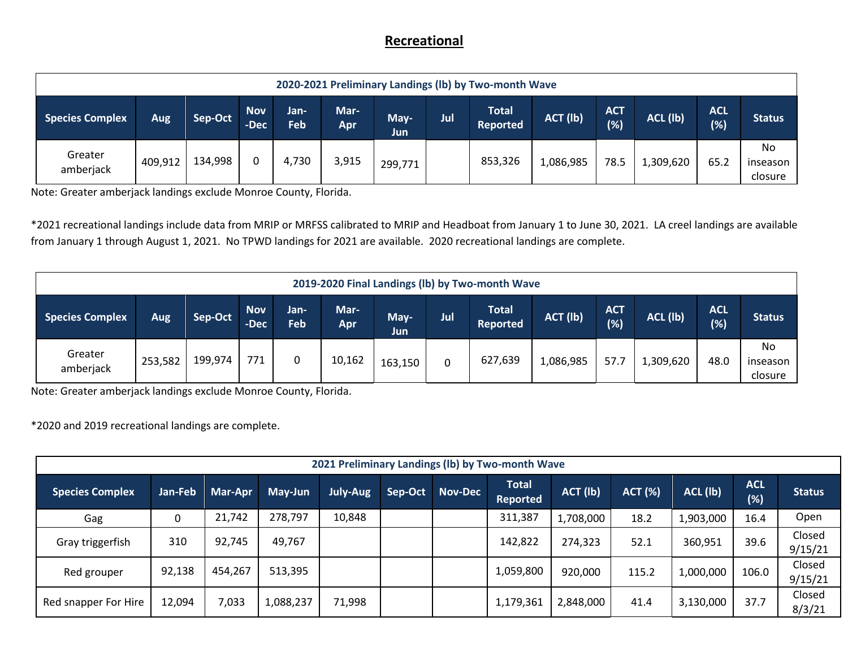## **Recreational**

|                                                                                                                                                                                                                                                 | 2020-2021 Preliminary Landings (Ib) by Two-month Wave |         |  |       |       |         |  |         |           |      |           |      |                                  |  |
|-------------------------------------------------------------------------------------------------------------------------------------------------------------------------------------------------------------------------------------------------|-------------------------------------------------------|---------|--|-------|-------|---------|--|---------|-----------|------|-----------|------|----------------------------------|--|
| <b>Total</b><br><b>Nov</b><br>Mar-<br><b>ACT</b><br><b>ACL</b><br>Jan-<br>ACL (lb)<br>ACT (lb)<br><b>Species Complex</b><br>Jul<br>Sep-Oct<br>May-<br><b>Status</b><br>Aug<br>(%)<br>(%)<br>Feb<br>-Dec<br><b>Reported</b><br>Apr<br><b>Jun</b> |                                                       |         |  |       |       |         |  |         |           |      |           |      |                                  |  |
| Greater<br>amberjack                                                                                                                                                                                                                            | 409,912                                               | 134,998 |  | 4,730 | 3,915 | 299,771 |  | 853,326 | 1,086,985 | 78.5 | 1,309,620 | 65.2 | <b>No</b><br>inseason<br>closure |  |

Note: Greater amberjack landings exclude Monroe County, Florida.

\*2021 recreational landings include data from MRIP or MRFSS calibrated to MRIP and Headboat from January 1 to June 30, 2021. LA creel landings are available from January 1 through August 1, 2021. No TPWD landings for 2021 are available. 2020 recreational landings are complete.

| 2019-2020 Final Landings (lb) by Two-month Wave                                                                                                                                                                                |         |         |     |   |        |         |   |         |           |      |               |      |                            |
|--------------------------------------------------------------------------------------------------------------------------------------------------------------------------------------------------------------------------------|---------|---------|-----|---|--------|---------|---|---------|-----------|------|---------------|------|----------------------------|
| <b>Nov</b><br>Mar-<br><b>ACT</b><br><b>ACL</b><br><b>Total</b><br>Jan-<br>ACT (lb)<br>ACL (lb)<br>Jul<br>Sep-Oct<br><b>Species Complex</b><br>May-<br>Aug<br>(%)<br>(%)<br>Feb<br>-Dec<br><b>Reported</b><br><b>Apr</b><br>Jun |         |         |     |   |        |         |   |         |           |      | <b>Status</b> |      |                            |
| Greater<br>amberjack                                                                                                                                                                                                           | 253,582 | 199,974 | 771 | 0 | 10,162 | 163,150 | 0 | 627,639 | 1,086,985 | 57.7 | 1,309,620     | 48.0 | No.<br>inseason<br>closure |

Note: Greater amberjack landings exclude Monroe County, Florida.

\*2020 and 2019 recreational landings are complete.

|                        | 2021 Preliminary Landings (Ib) by Two-month Wave |         |           |                 |         |                |                                 |           |                |           |                   |                   |  |  |
|------------------------|--------------------------------------------------|---------|-----------|-----------------|---------|----------------|---------------------------------|-----------|----------------|-----------|-------------------|-------------------|--|--|
| <b>Species Complex</b> | Jan-Feb                                          | Mar-Apr | May-Jun   | <b>July-Aug</b> | Sep-Oct | <b>Nov-Dec</b> | <b>Total</b><br><b>Reported</b> | ACT (lb)  | <b>ACT (%)</b> | ACL (lb)  | <b>ACL</b><br>(%) | <b>Status</b>     |  |  |
| Gag                    | 0                                                | 21,742  | 278,797   | 10,848          |         |                | 311,387                         | 1,708,000 | 18.2           | 1,903,000 | 16.4              | Open              |  |  |
| Gray triggerfish       | 310                                              | 92,745  | 49,767    |                 |         |                | 142,822                         | 274,323   | 52.1           | 360,951   | 39.6              | Closed<br>9/15/21 |  |  |
| Red grouper            | 92,138                                           | 454,267 | 513,395   |                 |         |                | 1,059,800                       | 920,000   | 115.2          | 1,000,000 | 106.0             | Closed<br>9/15/21 |  |  |
| Red snapper For Hire   | 12,094                                           | 7,033   | 1,088,237 | 71,998          |         |                | 1,179,361                       | 2,848,000 | 41.4           | 3,130,000 | 37.7              | Closed<br>8/3/21  |  |  |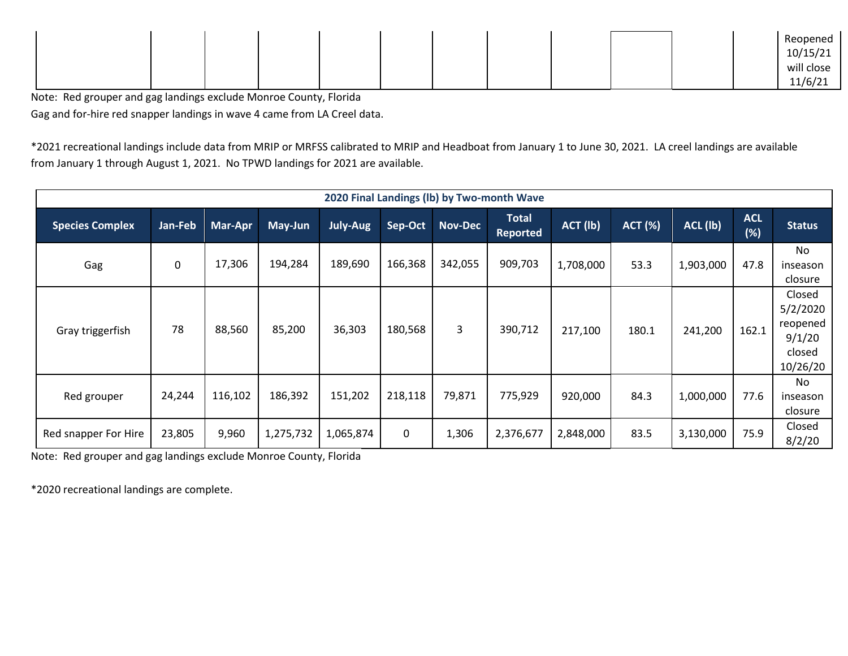|  |  |  |  |  |  | Reopened                 |
|--|--|--|--|--|--|--------------------------|
|  |  |  |  |  |  | 10/15/21                 |
|  |  |  |  |  |  | will close               |
|  |  |  |  |  |  | 11/6/2<br>ᆂᆂ/ U/ 스포<br>. |

Note: Red grouper and gag landings exclude Monroe County, Florida Gag and for-hire red snapper landings in wave 4 came from LA Creel data.

\*2021 recreational landings include data from MRIP or MRFSS calibrated to MRIP and Headboat from January 1 to June 30, 2021. LA creel landings are available from January 1 through August 1, 2021. No TPWD landings for 2021 are available.

|                        |             |         |           |           |         |                | 2020 Final Landings (Ib) by Two-month Wave |           |                |           |                      |                                                                |
|------------------------|-------------|---------|-----------|-----------|---------|----------------|--------------------------------------------|-----------|----------------|-----------|----------------------|----------------------------------------------------------------|
| <b>Species Complex</b> | Jan-Feb     | Mar-Apr | May-Jun   | July-Aug  | Sep-Oct | <b>Nov-Dec</b> | <b>Total</b><br><b>Reported</b>            | ACT (lb)  | <b>ACT (%)</b> | ACL (lb)  | <b>ACL</b><br>$(\%)$ | <b>Status</b>                                                  |
| Gag                    | $\mathbf 0$ | 17,306  | 194,284   | 189,690   | 166,368 | 342,055        | 909,703                                    | 1,708,000 | 53.3           | 1,903,000 | 47.8                 | <b>No</b><br>inseason<br>closure                               |
| Gray triggerfish       | 78          | 88,560  | 85,200    | 36,303    | 180,568 | 3              | 390,712                                    | 217,100   | 180.1          | 241,200   | 162.1                | Closed<br>5/2/2020<br>reopened<br>9/1/20<br>closed<br>10/26/20 |
| Red grouper            | 24,244      | 116,102 | 186,392   | 151,202   | 218,118 | 79,871         | 775,929                                    | 920,000   | 84.3           | 1,000,000 | 77.6                 | No.<br>inseason<br>closure                                     |
| Red snapper For Hire   | 23,805      | 9,960   | 1,275,732 | 1,065,874 | 0       | 1,306          | 2,376,677                                  | 2,848,000 | 83.5           | 3,130,000 | 75.9                 | Closed<br>8/2/20                                               |

Note: Red grouper and gag landings exclude Monroe County, Florida

\*2020 recreational landings are complete.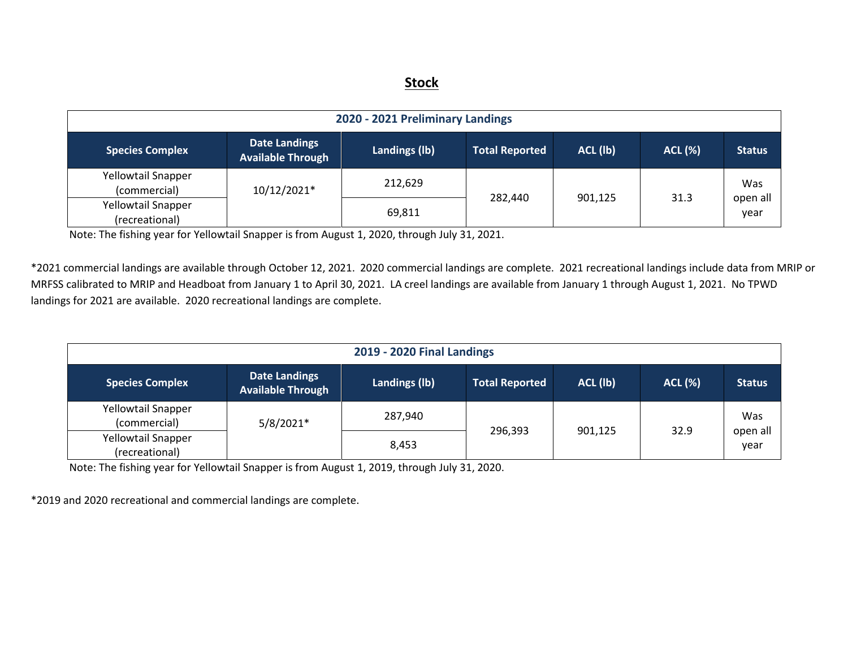## **Stock**

| 2020 - 2021 Preliminary Landings     |                                                  |               |                       |          |                |                  |  |  |  |  |  |  |
|--------------------------------------|--------------------------------------------------|---------------|-----------------------|----------|----------------|------------------|--|--|--|--|--|--|
| <b>Species Complex</b>               | <b>Date Landings</b><br><b>Available Through</b> | Landings (lb) | <b>Total Reported</b> | ACL (lb) | <b>ACL (%)</b> | <b>Status</b>    |  |  |  |  |  |  |
| Yellowtail Snapper<br>(commercial)   | 10/12/2021*                                      | 212,629       |                       |          |                | Was              |  |  |  |  |  |  |
| Yellowtail Snapper<br>(recreational) |                                                  | 69,811        | 282,440               | 901,125  | 31.3           | open all<br>year |  |  |  |  |  |  |

Note: The fishing year for Yellowtail Snapper is from August 1, 2020, through July 31, 2021.

\*2021 commercial landings are available through October 12, 2021. 2020 commercial landings are complete. 2021 recreational landings include data from MRIP or MRFSS calibrated to MRIP and Headboat from January 1 to April 30, 2021. LA creel landings are available from January 1 through August 1, 2021. No TPWD landings for 2021 are available. 2020 recreational landings are complete.

|                                             | <b>2019 - 2020 Final Landings</b>                |               |                       |          |                |                  |  |  |  |  |  |  |  |
|---------------------------------------------|--------------------------------------------------|---------------|-----------------------|----------|----------------|------------------|--|--|--|--|--|--|--|
| <b>Species Complex</b>                      | <b>Date Landings</b><br><b>Available Through</b> | Landings (lb) | <b>Total Reported</b> | ACL (lb) | <b>ACL (%)</b> | <b>Status</b>    |  |  |  |  |  |  |  |
| Yellowtail Snapper<br>(commercial)          | $5/8/2021*$                                      | 287,940       | 296,393               | 901,125  | 32.9           | Was              |  |  |  |  |  |  |  |
| <b>Yellowtail Snapper</b><br>(recreational) |                                                  | 8,453         |                       |          |                | open all<br>year |  |  |  |  |  |  |  |

Note: The fishing year for Yellowtail Snapper is from August 1, 2019, through July 31, 2020.

\*2019 and 2020 recreational and commercial landings are complete.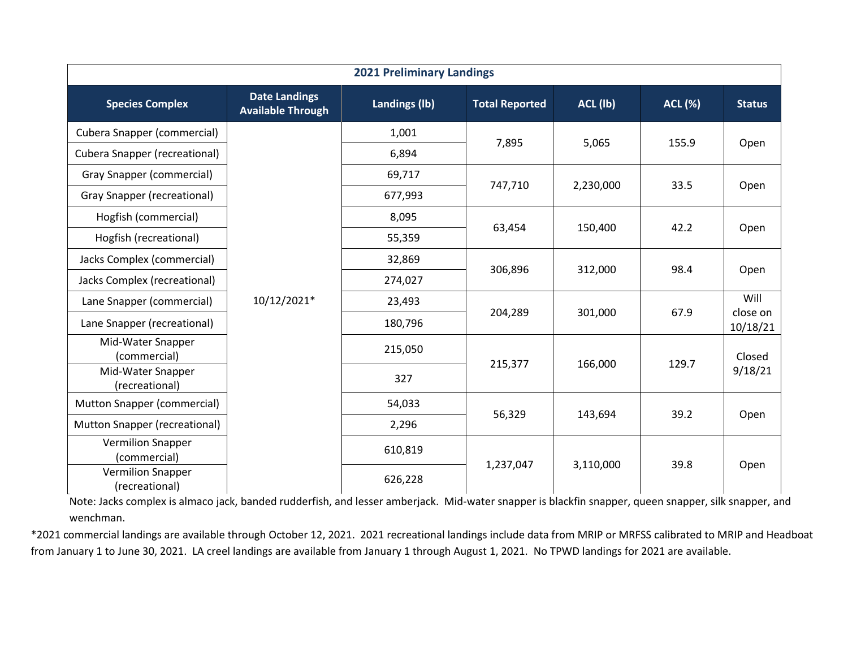|                                            | <b>2021 Preliminary Landings</b>                 |               |                       |           |                |                      |  |  |  |  |  |  |  |
|--------------------------------------------|--------------------------------------------------|---------------|-----------------------|-----------|----------------|----------------------|--|--|--|--|--|--|--|
| <b>Species Complex</b>                     | <b>Date Landings</b><br><b>Available Through</b> | Landings (lb) | <b>Total Reported</b> | ACL (lb)  | <b>ACL (%)</b> | <b>Status</b>        |  |  |  |  |  |  |  |
| <b>Cubera Snapper (commercial)</b>         |                                                  | 1,001         |                       |           |                |                      |  |  |  |  |  |  |  |
| <b>Cubera Snapper (recreational)</b>       |                                                  | 6,894         | 7,895                 | 5,065     | 155.9          | Open                 |  |  |  |  |  |  |  |
| Gray Snapper (commercial)                  |                                                  | 69,717        |                       |           |                |                      |  |  |  |  |  |  |  |
| Gray Snapper (recreational)                |                                                  | 677,993       | 747,710               | 2,230,000 | 33.5           | Open                 |  |  |  |  |  |  |  |
| Hogfish (commercial)                       |                                                  | 8,095         |                       |           |                |                      |  |  |  |  |  |  |  |
| Hogfish (recreational)                     |                                                  | 55,359        | 63,454                | 150,400   | 42.2           | Open                 |  |  |  |  |  |  |  |
| Jacks Complex (commercial)                 |                                                  | 32,869        |                       |           |                |                      |  |  |  |  |  |  |  |
| Jacks Complex (recreational)               |                                                  | 274,027       | 306,896               | 312,000   | 98.4           | Open                 |  |  |  |  |  |  |  |
| Lane Snapper (commercial)                  | 10/12/2021*                                      | 23,493        |                       |           |                | Will                 |  |  |  |  |  |  |  |
| Lane Snapper (recreational)                |                                                  | 180,796       | 204,289               | 301,000   | 67.9           | close on<br>10/18/21 |  |  |  |  |  |  |  |
| Mid-Water Snapper<br>(commercial)          |                                                  | 215,050       |                       |           |                | Closed               |  |  |  |  |  |  |  |
| Mid-Water Snapper<br>(recreational)        |                                                  | 327           | 215,377               | 166,000   | 129.7          | 9/18/21              |  |  |  |  |  |  |  |
| Mutton Snapper (commercial)                |                                                  | 54,033        |                       |           | 39.2           |                      |  |  |  |  |  |  |  |
| Mutton Snapper (recreational)              |                                                  | 2,296         | 56,329                | 143,694   |                | Open                 |  |  |  |  |  |  |  |
| <b>Vermilion Snapper</b><br>(commercial)   |                                                  | 610,819       | 1,237,047             | 3,110,000 | 39.8           | Open                 |  |  |  |  |  |  |  |
| <b>Vermilion Snapper</b><br>(recreational) |                                                  | 626,228       |                       |           |                |                      |  |  |  |  |  |  |  |

Note: Jacks complex is almaco jack, banded rudderfish, and lesser amberjack. Mid-water snapper is blackfin snapper, queen snapper, silk snapper, and wenchman.

\*2021 commercial landings are available through October 12, 2021. 2021 recreational landings include data from MRIP or MRFSS calibrated to MRIP and Headboat from January 1 to June 30, 2021. LA creel landings are available from January 1 through August 1, 2021. No TPWD landings for 2021 are available.